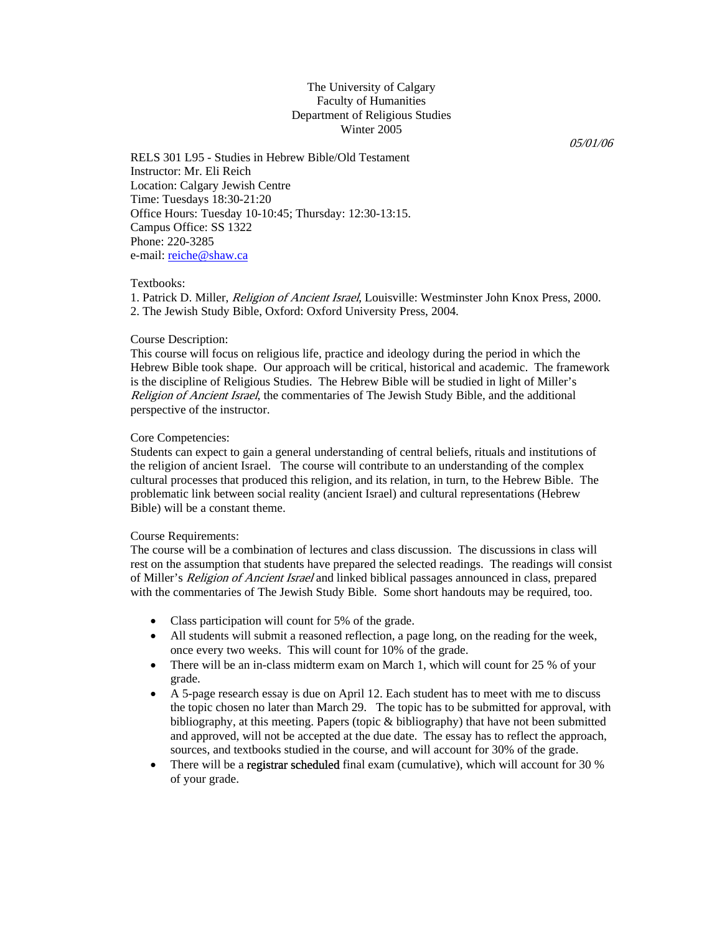# The University of Calgary Faculty of Humanities Department of Religious Studies Winter 2005

05/01/06

RELS 301 L95 - Studies in Hebrew Bible/Old Testament Instructor: Mr. Eli Reich Location: Calgary Jewish Centre Time: Tuesdays 18:30-21:20 Office Hours: Tuesday 10-10:45; Thursday: 12:30-13:15. Campus Office: SS 1322 Phone: 220-3285 e-mail: reiche@shaw.ca

#### Textbooks:

1. Patrick D. Miller, Religion of Ancient Israel, Louisville: Westminster John Knox Press, 2000. 2. The Jewish Study Bible, Oxford: Oxford University Press, 2004.

### Course Description:

This course will focus on religious life, practice and ideology during the period in which the Hebrew Bible took shape. Our approach will be critical, historical and academic. The framework is the discipline of Religious Studies. The Hebrew Bible will be studied in light of Miller's Religion of Ancient Israel, the commentaries of The Jewish Study Bible, and the additional perspective of the instructor.

#### Core Competencies:

Students can expect to gain a general understanding of central beliefs, rituals and institutions of the religion of ancient Israel. The course will contribute to an understanding of the complex cultural processes that produced this religion, and its relation, in turn, to the Hebrew Bible. The problematic link between social reality (ancient Israel) and cultural representations (Hebrew Bible) will be a constant theme.

#### Course Requirements:

The course will be a combination of lectures and class discussion. The discussions in class will rest on the assumption that students have prepared the selected readings. The readings will consist of Miller's Religion of Ancient Israel and linked biblical passages announced in class, prepared with the commentaries of The Jewish Study Bible. Some short handouts may be required, too.

- Class participation will count for 5% of the grade.
- All students will submit a reasoned reflection, a page long, on the reading for the week, once every two weeks. This will count for 10% of the grade.
- There will be an in-class midterm exam on March 1, which will count for 25 % of your grade.
- A 5-page research essay is due on April 12. Each student has to meet with me to discuss the topic chosen no later than March 29. The topic has to be submitted for approval, with bibliography, at this meeting. Papers (topic & bibliography) that have not been submitted and approved, will not be accepted at the due date. The essay has to reflect the approach, sources, and textbooks studied in the course, and will account for 30% of the grade.
- There will be a registrar scheduled final exam (cumulative), which will account for 30 % of your grade.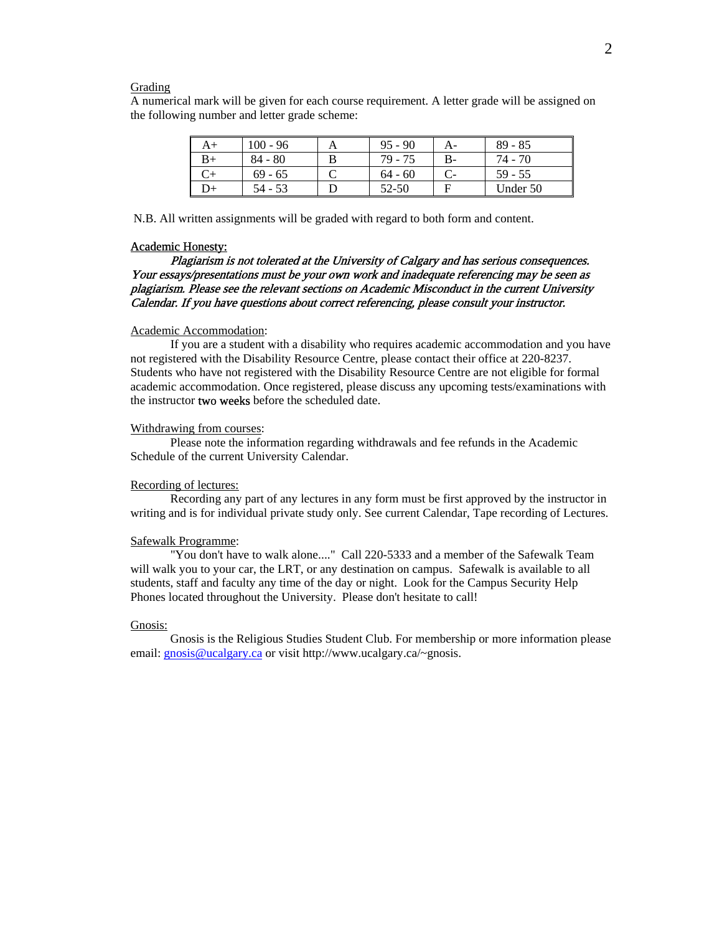#### Grading

A numerical mark will be given for each course requirement. A letter grade will be assigned on the following number and letter grade scheme:

| A+ | $100 - 96$ | A | $95 - 90$ | А-   | $89 - 85$ |
|----|------------|---|-----------|------|-----------|
| B+ | $84 - 80$  |   | 79 - 75   | $B-$ | 74 - 70   |
|    | $69 - 65$  |   | $64 - 60$ |      | $59 - 55$ |
|    | $54 - 53$  |   | 52-50     | Е    | Under 50  |

N.B. All written assignments will be graded with regard to both form and content.

#### Academic Honesty:

# Plagiarism is not tolerated at the University of Calgary and has serious consequences. Your essays/presentations must be your own work and inadequate referencing may be seen as plagiarism. Please see the relevant sections on Academic Misconduct in the current University Calendar. If you have questions about correct referencing, please consult your instructor.

#### Academic Accommodation:

 If you are a student with a disability who requires academic accommodation and you have not registered with the Disability Resource Centre, please contact their office at 220-8237. Students who have not registered with the Disability Resource Centre are not eligible for formal academic accommodation. Once registered, please discuss any upcoming tests/examinations with the instructor two weeks before the scheduled date.

#### Withdrawing from courses:

 Please note the information regarding withdrawals and fee refunds in the Academic Schedule of the current University Calendar.

## Recording of lectures:

 Recording any part of any lectures in any form must be first approved by the instructor in writing and is for individual private study only. See current Calendar, Tape recording of Lectures.

#### Safewalk Programme:

 "You don't have to walk alone...." Call 220-5333 and a member of the Safewalk Team will walk you to your car, the LRT, or any destination on campus. Safewalk is available to all students, staff and faculty any time of the day or night. Look for the Campus Security Help Phones located throughout the University. Please don't hesitate to call!

#### Gnosis:

 Gnosis is the Religious Studies Student Club. For membership or more information please email: gnosis@ucalgary.ca or visit http://www.ucalgary.ca/~gnosis.